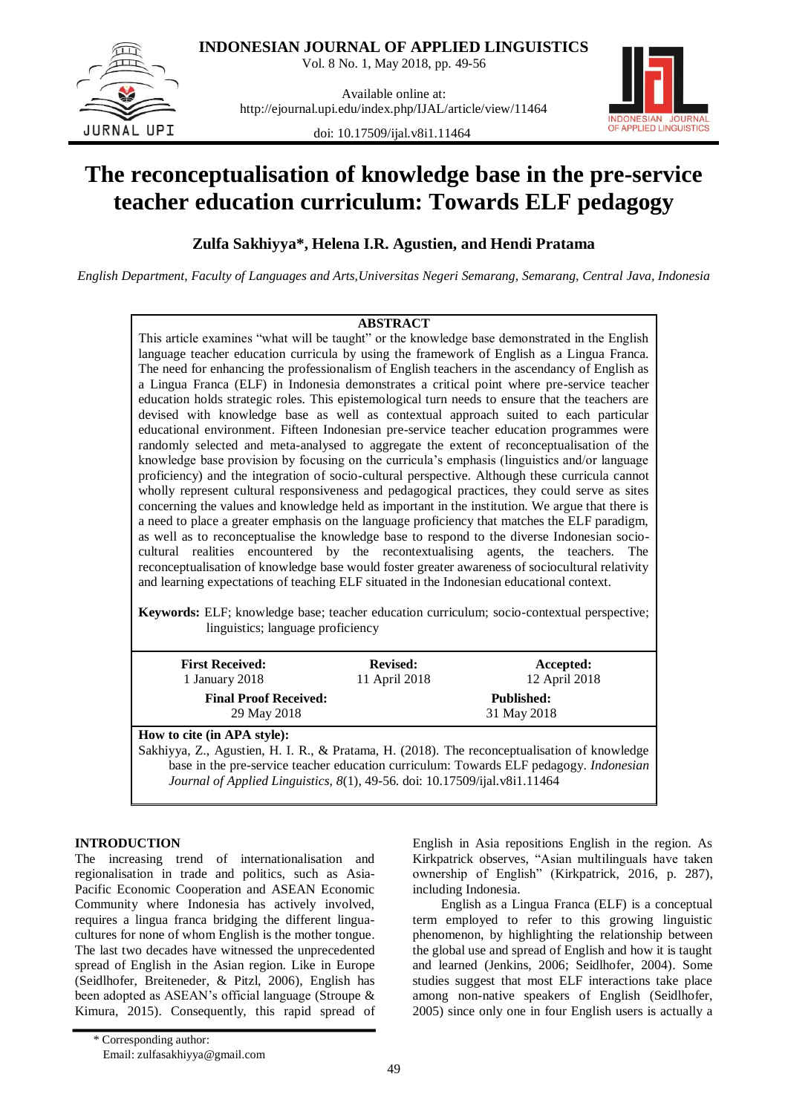

**INDONESIAN JOURNAL OF APPLIED LINGUISTICS**

Vol. 8 No. 1, May 2018, pp. 49-56

Available online at: http://ejournal.upi.edu/index.php/IJAL/article/view/11464

doi: 10.17509/ijal.v8i1.11464



# **The reconceptualisation of knowledge base in the pre-service teacher education curriculum: Towards ELF pedagogy**

**Zulfa Sakhiyya\*, Helena I.R. Agustien, and Hendi Pratama**

*English Department, Faculty of Languages and Arts,Universitas Negeri Semarang, Semarang, Central Java, Indonesia*

# **ABSTRACT**

This article examines "what will be taught" or the knowledge base demonstrated in the English language teacher education curricula by using the framework of English as a Lingua Franca. The need for enhancing the professionalism of English teachers in the ascendancy of English as a Lingua Franca (ELF) in Indonesia demonstrates a critical point where pre-service teacher education holds strategic roles. This epistemological turn needs to ensure that the teachers are devised with knowledge base as well as contextual approach suited to each particular educational environment. Fifteen Indonesian pre-service teacher education programmes were randomly selected and meta-analysed to aggregate the extent of reconceptualisation of the knowledge base provision by focusing on the curricula"s emphasis (linguistics and/or language proficiency) and the integration of socio-cultural perspective. Although these curricula cannot wholly represent cultural responsiveness and pedagogical practices, they could serve as sites concerning the values and knowledge held as important in the institution. We argue that there is a need to place a greater emphasis on the language proficiency that matches the ELF paradigm, as well as to reconceptualise the knowledge base to respond to the diverse Indonesian sociocultural realities encountered by the recontextualising agents, the teachers. The reconceptualisation of knowledge base would foster greater awareness of sociocultural relativity and learning expectations of teaching ELF situated in the Indonesian educational context.

**Keywords:** ELF; knowledge base; teacher education curriculum; socio-contextual perspective; linguistics; language proficiency

| <b>First Received:</b>                      | <b>Revised:</b>                                                                                                                                                                                                                                                                                                                    | Accepted:                                      |  |
|---------------------------------------------|------------------------------------------------------------------------------------------------------------------------------------------------------------------------------------------------------------------------------------------------------------------------------------------------------------------------------------|------------------------------------------------|--|
| 1 January 2018                              | 11 April 2018                                                                                                                                                                                                                                                                                                                      | 12 April 2018                                  |  |
| <b>Final Proof Received:</b><br>29 May 2018 |                                                                                                                                                                                                                                                                                                                                    | <b>Published:</b><br>31 May 2018               |  |
| How to cite (in APA style):                 | $\mathbf{r}$ $\mathbf{r}$ $\mathbf{r}$ $\mathbf{r}$ $\mathbf{r}$ $\mathbf{r}$ $\mathbf{r}$ $\mathbf{r}$ $\mathbf{r}$ $\mathbf{r}$ $\mathbf{r}$ $\mathbf{r}$ $\mathbf{r}$ $\mathbf{r}$ $\mathbf{r}$ $\mathbf{r}$ $\mathbf{r}$ $\mathbf{r}$ $\mathbf{r}$ $\mathbf{r}$ $\mathbf{r}$ $\mathbf{r}$ $\mathbf{r}$ $\mathbf{r}$ $\mathbf{$ |                                                |  |
|                                             | $\sim$ $\sim$ $\sim$                                                                                                                                                                                                                                                                                                               | $\mathbf{a}$ and $\mathbf{a}$ and $\mathbf{a}$ |  |

Sakhiyya, Z., Agustien, H. I. R., & Pratama, H. (2018). The reconceptualisation of knowledge base in the pre-service teacher education curriculum: Towards ELF pedagogy. *Indonesian Journal of Applied Linguistics, 8*(1), 49-56. doi: [10.17509/ijal.v8i1.11464](http://dx.doi.org/10.17509/ijal.v8i1.11464)

# **INTRODUCTION**

The increasing trend of internationalisation and regionalisation in trade and politics, such as Asia-Pacific Economic Cooperation and ASEAN Economic Community where Indonesia has actively involved, requires a lingua franca bridging the different linguacultures for none of whom English is the mother tongue. The last two decades have witnessed the unprecedented spread of English in the Asian region. Like in Europe (Seidlhofer, Breiteneder, & Pitzl, 2006), English has been adopted as ASEAN"s official language (Stroupe & Kimura, 2015). Consequently, this rapid spread of English in Asia repositions English in the region. As Kirkpatrick observes, "Asian multilinguals have taken ownership of English" (Kirkpatrick, 2016, p. 287), including Indonesia.

English as a Lingua Franca (ELF) is a conceptual term employed to refer to this growing linguistic phenomenon, by highlighting the relationship between the global use and spread of English and how it is taught and learned (Jenkins, 2006; Seidlhofer, 2004). Some studies suggest that most ELF interactions take place among non-native speakers of English (Seidlhofer, 2005) since only one in four English users is actually a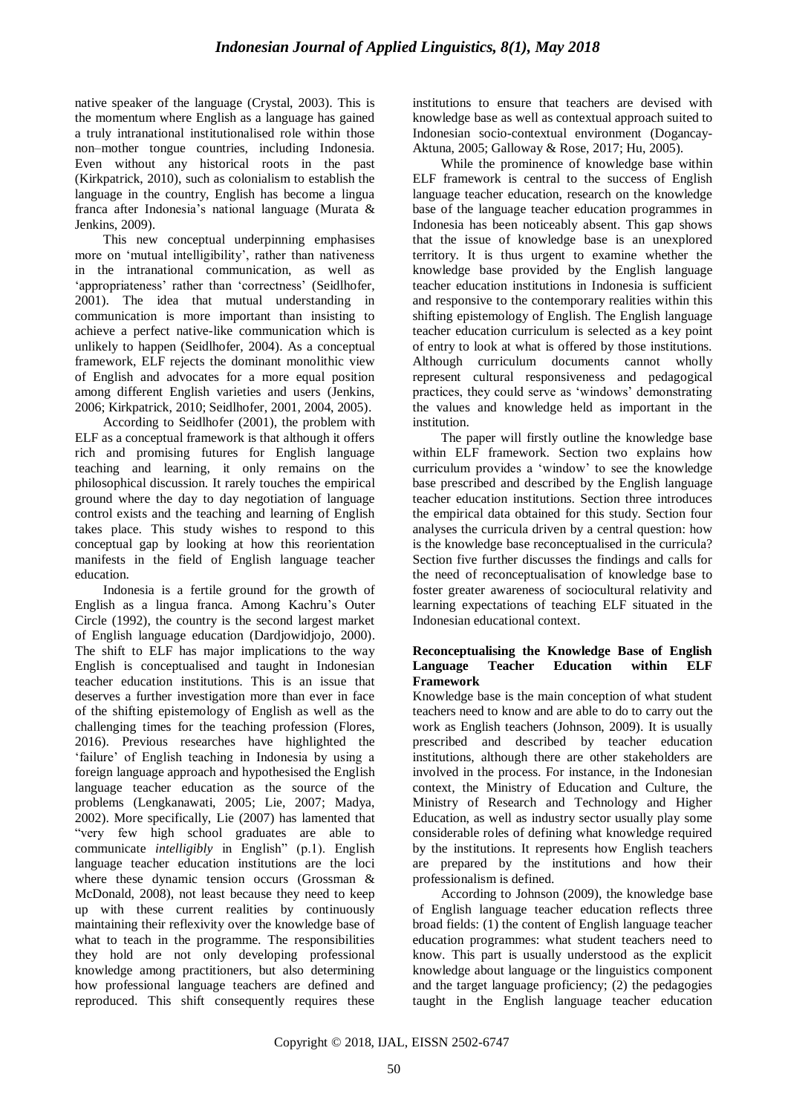native speaker of the language (Crystal, 2003). This is the momentum where English as a language has gained a truly intranational institutionalised role within those non–mother tongue countries, including Indonesia. Even without any historical roots in the past (Kirkpatrick, 2010), such as colonialism to establish the language in the country, English has become a lingua franca after Indonesia"s national language (Murata & Jenkins, 2009).

This new conceptual underpinning emphasises more on 'mutual intelligibility', rather than nativeness in the intranational communication, as well as 'appropriateness' rather than 'correctness' (Seidlhofer, 2001). The idea that mutual understanding in communication is more important than insisting to achieve a perfect native-like communication which is unlikely to happen (Seidlhofer, 2004). As a conceptual framework, ELF rejects the dominant monolithic view of English and advocates for a more equal position among different English varieties and users (Jenkins, 2006; Kirkpatrick, 2010; Seidlhofer, 2001, 2004, 2005).

According to Seidlhofer (2001), the problem with ELF as a conceptual framework is that although it offers rich and promising futures for English language teaching and learning, it only remains on the philosophical discussion. It rarely touches the empirical ground where the day to day negotiation of language control exists and the teaching and learning of English takes place. This study wishes to respond to this conceptual gap by looking at how this reorientation manifests in the field of English language teacher education.

Indonesia is a fertile ground for the growth of English as a lingua franca. Among Kachru"s Outer Circle (1992), the country is the second largest market of English language education (Dardjowidjojo, 2000). The shift to ELF has major implications to the way English is conceptualised and taught in Indonesian teacher education institutions. This is an issue that deserves a further investigation more than ever in face of the shifting epistemology of English as well as the challenging times for the teaching profession (Flores, 2016). Previous researches have highlighted the "failure" of English teaching in Indonesia by using a foreign language approach and hypothesised the English language teacher education as the source of the problems (Lengkanawati, 2005; Lie, 2007; Madya, 2002). More specifically, Lie (2007) has lamented that "very few high school graduates are able to communicate *intelligibly* in English" (p.1). English language teacher education institutions are the loci where these dynamic tension occurs (Grossman & McDonald, 2008), not least because they need to keep up with these current realities by continuously maintaining their reflexivity over the knowledge base of what to teach in the programme. The responsibilities they hold are not only developing professional knowledge among practitioners, but also determining how professional language teachers are defined and reproduced. This shift consequently requires these institutions to ensure that teachers are devised with knowledge base as well as contextual approach suited to Indonesian socio-contextual environment (Dogancay-Aktuna, 2005; Galloway & Rose, 2017; Hu, 2005).

While the prominence of knowledge base within ELF framework is central to the success of English language teacher education, research on the knowledge base of the language teacher education programmes in Indonesia has been noticeably absent. This gap shows that the issue of knowledge base is an unexplored territory. It is thus urgent to examine whether the knowledge base provided by the English language teacher education institutions in Indonesia is sufficient and responsive to the contemporary realities within this shifting epistemology of English. The English language teacher education curriculum is selected as a key point of entry to look at what is offered by those institutions. Although curriculum documents cannot wholly represent cultural responsiveness and pedagogical practices, they could serve as "windows" demonstrating the values and knowledge held as important in the institution.

The paper will firstly outline the knowledge base within ELF framework. Section two explains how curriculum provides a "window" to see the knowledge base prescribed and described by the English language teacher education institutions. Section three introduces the empirical data obtained for this study. Section four analyses the curricula driven by a central question: how is the knowledge base reconceptualised in the curricula? Section five further discusses the findings and calls for the need of reconceptualisation of knowledge base to foster greater awareness of sociocultural relativity and learning expectations of teaching ELF situated in the Indonesian educational context.

# **Reconceptualising the Knowledge Base of English Language Teacher Education within ELF Framework**

Knowledge base is the main conception of what student teachers need to know and are able to do to carry out the work as English teachers (Johnson, 2009). It is usually prescribed and described by teacher education institutions, although there are other stakeholders are involved in the process. For instance, in the Indonesian context, the Ministry of Education and Culture, the Ministry of Research and Technology and Higher Education, as well as industry sector usually play some considerable roles of defining what knowledge required by the institutions. It represents how English teachers are prepared by the institutions and how their professionalism is defined.

According to Johnson (2009), the knowledge base of English language teacher education reflects three broad fields: (1) the content of English language teacher education programmes: what student teachers need to know. This part is usually understood as the explicit knowledge about language or the linguistics component and the target language proficiency; (2) the pedagogies taught in the English language teacher education

Copyright © 2018, IJAL, EISSN [2502-6747](http://u.lipi.go.id/1435827202)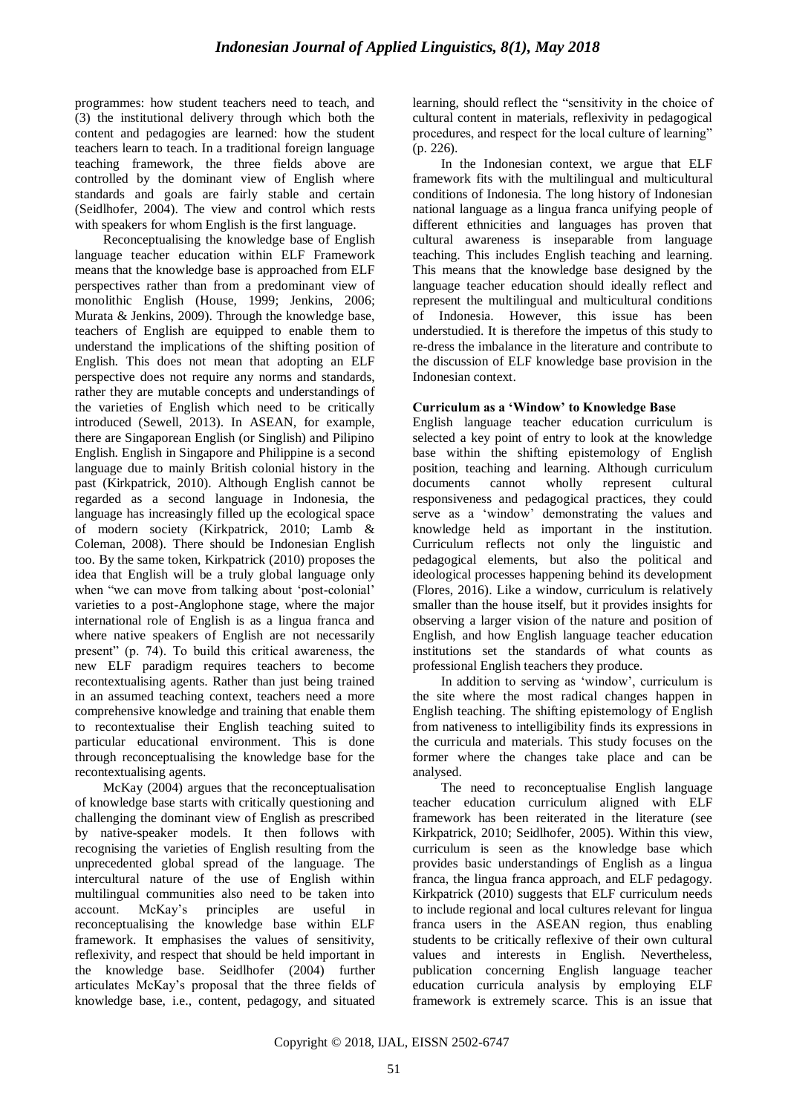programmes: how student teachers need to teach, and (3) the institutional delivery through which both the content and pedagogies are learned: how the student teachers learn to teach. In a traditional foreign language teaching framework, the three fields above are controlled by the dominant view of English where standards and goals are fairly stable and certain (Seidlhofer, 2004). The view and control which rests with speakers for whom English is the first language.

Reconceptualising the knowledge base of English language teacher education within ELF Framework means that the knowledge base is approached from ELF perspectives rather than from a predominant view of monolithic English (House, 1999; Jenkins, 2006; Murata & Jenkins, 2009). Through the knowledge base, teachers of English are equipped to enable them to understand the implications of the shifting position of English. This does not mean that adopting an ELF perspective does not require any norms and standards, rather they are mutable concepts and understandings of the varieties of English which need to be critically introduced (Sewell, 2013). In ASEAN, for example, there are Singaporean English (or Singlish) and Pilipino English. English in Singapore and Philippine is a second language due to mainly British colonial history in the past (Kirkpatrick, 2010). Although English cannot be regarded as a second language in Indonesia, the language has increasingly filled up the ecological space of modern society (Kirkpatrick, 2010; Lamb & Coleman, 2008). There should be Indonesian English too. By the same token, Kirkpatrick (2010) proposes the idea that English will be a truly global language only when "we can move from talking about 'post-colonial' varieties to a post-Anglophone stage, where the major international role of English is as a lingua franca and where native speakers of English are not necessarily present" (p. 74). To build this critical awareness, the new ELF paradigm requires teachers to become recontextualising agents. Rather than just being trained in an assumed teaching context, teachers need a more comprehensive knowledge and training that enable them to recontextualise their English teaching suited to particular educational environment. This is done through reconceptualising the knowledge base for the recontextualising agents.

McKay (2004) argues that the reconceptualisation of knowledge base starts with critically questioning and challenging the dominant view of English as prescribed by native-speaker models. It then follows with recognising the varieties of English resulting from the unprecedented global spread of the language. The intercultural nature of the use of English within multilingual communities also need to be taken into account. McKay"s principles are useful in reconceptualising the knowledge base within ELF framework. It emphasises the values of sensitivity, reflexivity, and respect that should be held important in the knowledge base. Seidlhofer (2004) further articulates McKay"s proposal that the three fields of knowledge base, i.e., content, pedagogy, and situated learning, should reflect the "sensitivity in the choice of cultural content in materials, reflexivity in pedagogical procedures, and respect for the local culture of learning" (p. 226).

In the Indonesian context, we argue that ELF framework fits with the multilingual and multicultural conditions of Indonesia. The long history of Indonesian national language as a lingua franca unifying people of different ethnicities and languages has proven that cultural awareness is inseparable from language teaching. This includes English teaching and learning. This means that the knowledge base designed by the language teacher education should ideally reflect and represent the multilingual and multicultural conditions of Indonesia. However, this issue has been understudied. It is therefore the impetus of this study to re-dress the imbalance in the literature and contribute to the discussion of ELF knowledge base provision in the Indonesian context.

# **Curriculum as a 'Window' to Knowledge Base**

English language teacher education curriculum is selected a key point of entry to look at the knowledge base within the shifting epistemology of English position, teaching and learning. Although curriculum documents cannot wholly represent cultural responsiveness and pedagogical practices, they could serve as a "window" demonstrating the values and knowledge held as important in the institution. Curriculum reflects not only the linguistic and pedagogical elements, but also the political and ideological processes happening behind its development (Flores, 2016). Like a window, curriculum is relatively smaller than the house itself, but it provides insights for observing a larger vision of the nature and position of English, and how English language teacher education institutions set the standards of what counts as professional English teachers they produce.

In addition to serving as "window", curriculum is the site where the most radical changes happen in English teaching. The shifting epistemology of English from nativeness to intelligibility finds its expressions in the curricula and materials. This study focuses on the former where the changes take place and can be analysed.

The need to reconceptualise English language teacher education curriculum aligned with ELF framework has been reiterated in the literature (see Kirkpatrick, 2010; Seidlhofer, 2005). Within this view, curriculum is seen as the knowledge base which provides basic understandings of English as a lingua franca, the lingua franca approach, and ELF pedagogy. Kirkpatrick (2010) suggests that ELF curriculum needs to include regional and local cultures relevant for lingua franca users in the ASEAN region, thus enabling students to be critically reflexive of their own cultural values and interests in English. Nevertheless, publication concerning English language teacher education curricula analysis by employing ELF framework is extremely scarce. This is an issue that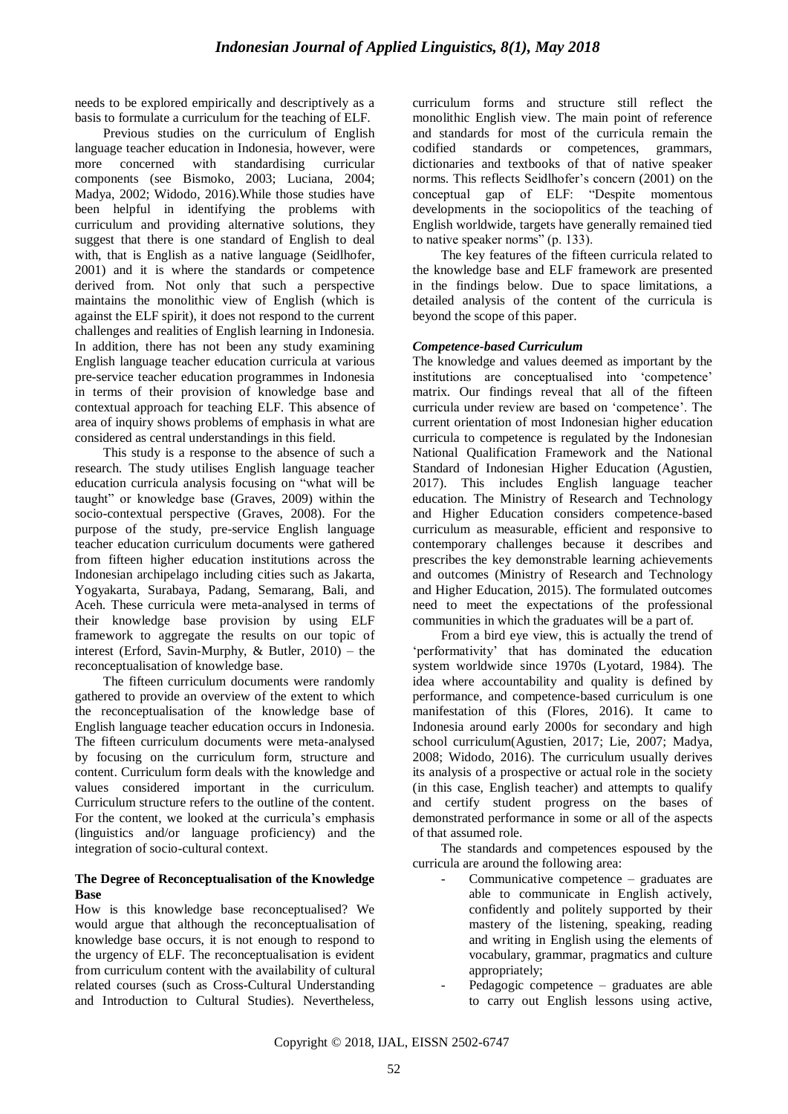needs to be explored empirically and descriptively as a basis to formulate a curriculum for the teaching of ELF.

Previous studies on the curriculum of English language teacher education in Indonesia, however, were more concerned with standardising curricular components (see Bismoko, 2003; Luciana, 2004; Madya, 2002; Widodo, 2016).While those studies have been helpful in identifying the problems with curriculum and providing alternative solutions, they suggest that there is one standard of English to deal with, that is English as a native language (Seidlhofer, 2001) and it is where the standards or competence derived from. Not only that such a perspective maintains the monolithic view of English (which is against the ELF spirit), it does not respond to the current challenges and realities of English learning in Indonesia. In addition, there has not been any study examining English language teacher education curricula at various pre-service teacher education programmes in Indonesia in terms of their provision of knowledge base and contextual approach for teaching ELF. This absence of area of inquiry shows problems of emphasis in what are considered as central understandings in this field.

This study is a response to the absence of such a research. The study utilises English language teacher education curricula analysis focusing on "what will be taught" or knowledge base (Graves, 2009) within the socio-contextual perspective (Graves, 2008). For the purpose of the study, pre-service English language teacher education curriculum documents were gathered from fifteen higher education institutions across the Indonesian archipelago including cities such as Jakarta, Yogyakarta, Surabaya, Padang, Semarang, Bali, and Aceh. These curricula were meta-analysed in terms of their knowledge base provision by using ELF framework to aggregate the results on our topic of interest (Erford, Savin-Murphy, & Butler, 2010) – the reconceptualisation of knowledge base.

The fifteen curriculum documents were randomly gathered to provide an overview of the extent to which the reconceptualisation of the knowledge base of English language teacher education occurs in Indonesia. The fifteen curriculum documents were meta-analysed by focusing on the curriculum form, structure and content. Curriculum form deals with the knowledge and values considered important in the curriculum. Curriculum structure refers to the outline of the content. For the content, we looked at the curricula's emphasis (linguistics and/or language proficiency) and the integration of socio-cultural context.

#### **The Degree of Reconceptualisation of the Knowledge Base**

How is this knowledge base reconceptualised? We would argue that although the reconceptualisation of knowledge base occurs, it is not enough to respond to the urgency of ELF. The reconceptualisation is evident from curriculum content with the availability of cultural related courses (such as Cross-Cultural Understanding and Introduction to Cultural Studies). Nevertheless, curriculum forms and structure still reflect the monolithic English view. The main point of reference and standards for most of the curricula remain the codified standards or competences, grammars, dictionaries and textbooks of that of native speaker norms. This reflects Seidlhofer's concern (2001) on the conceptual gap of ELF: "Despite momentous developments in the sociopolitics of the teaching of English worldwide, targets have generally remained tied to native speaker norms" (p. 133).

The key features of the fifteen curricula related to the knowledge base and ELF framework are presented in the findings below. Due to space limitations, a detailed analysis of the content of the curricula is beyond the scope of this paper.

# *Competence-based Curriculum*

The knowledge and values deemed as important by the institutions are conceptualised into 'competence' matrix. Our findings reveal that all of the fifteen curricula under review are based on "competence". The current orientation of most Indonesian higher education curricula to competence is regulated by the Indonesian National Qualification Framework and the National Standard of Indonesian Higher Education (Agustien, 2017). This includes English language teacher education. The Ministry of Research and Technology and Higher Education considers competence-based curriculum as measurable, efficient and responsive to contemporary challenges because it describes and prescribes the key demonstrable learning achievements and outcomes (Ministry of Research and Technology and Higher Education, 2015). The formulated outcomes need to meet the expectations of the professional communities in which the graduates will be a part of.

From a bird eye view, this is actually the trend of "performativity" that has dominated the education system worldwide since 1970s (Lyotard, 1984). The idea where accountability and quality is defined by performance, and competence-based curriculum is one manifestation of this (Flores, 2016). It came to Indonesia around early 2000s for secondary and high school curriculum(Agustien, 2017; Lie, 2007; Madya, 2008; Widodo, 2016). The curriculum usually derives its analysis of a prospective or actual role in the society (in this case, English teacher) and attempts to qualify and certify student progress on the bases of demonstrated performance in some or all of the aspects of that assumed role.

The standards and competences espoused by the curricula are around the following area:

- Communicative competence graduates are able to communicate in English actively, confidently and politely supported by their mastery of the listening, speaking, reading and writing in English using the elements of vocabulary, grammar, pragmatics and culture appropriately;
- Pedagogic competence  $-$  graduates are able to carry out English lessons using active,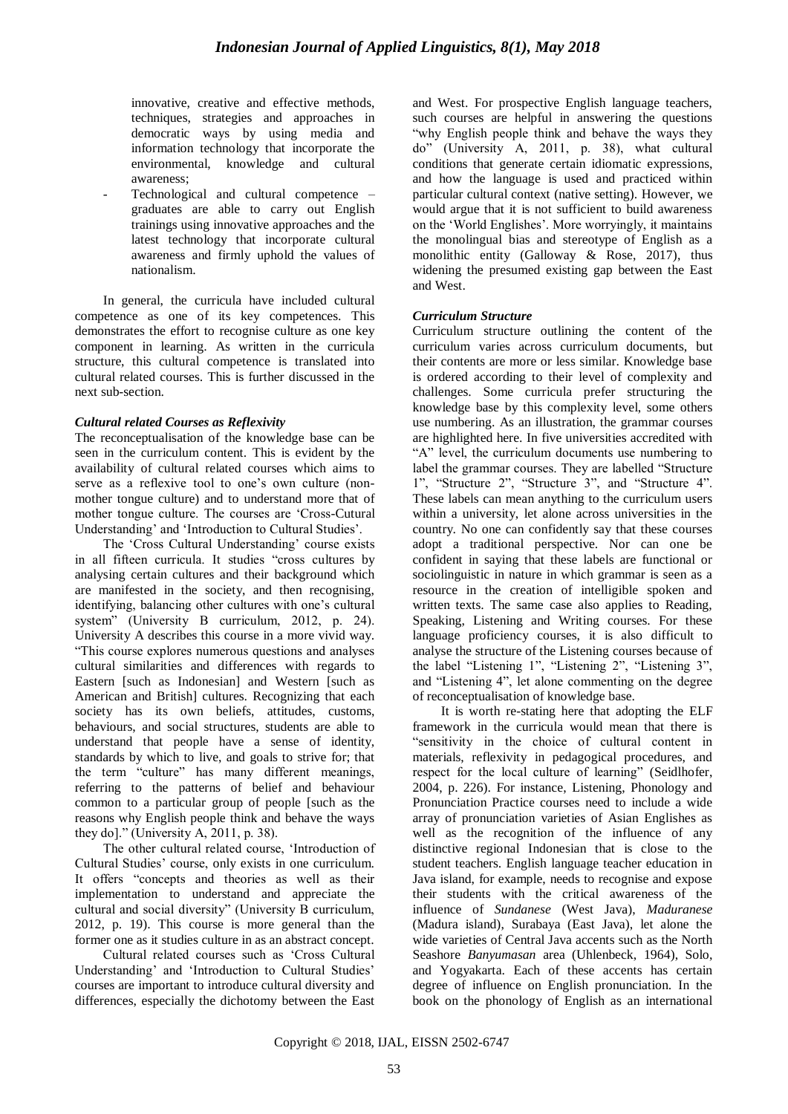innovative, creative and effective methods, techniques, strategies and approaches in democratic ways by using media and information technology that incorporate the environmental, knowledge and cultural awareness;

Technological and cultural competence graduates are able to carry out English trainings using innovative approaches and the latest technology that incorporate cultural awareness and firmly uphold the values of nationalism.

In general, the curricula have included cultural competence as one of its key competences. This demonstrates the effort to recognise culture as one key component in learning. As written in the curricula structure, this cultural competence is translated into cultural related courses. This is further discussed in the next sub-section.

# *Cultural related Courses as Reflexivity*

The reconceptualisation of the knowledge base can be seen in the curriculum content. This is evident by the availability of cultural related courses which aims to serve as a reflexive tool to one's own culture (nonmother tongue culture) and to understand more that of mother tongue culture. The courses are "Cross-Cutural Understanding' and 'Introduction to Cultural Studies'.

The 'Cross Cultural Understanding' course exists in all fifteen curricula. It studies "cross cultures by analysing certain cultures and their background which are manifested in the society, and then recognising, identifying, balancing other cultures with one"s cultural system" (University B curriculum, 2012, p. 24). University A describes this course in a more vivid way. "This course explores numerous questions and analyses cultural similarities and differences with regards to Eastern [such as Indonesian] and Western [such as American and British] cultures. Recognizing that each society has its own beliefs, attitudes, customs, behaviours, and social structures, students are able to understand that people have a sense of identity, standards by which to live, and goals to strive for; that the term "culture" has many different meanings, referring to the patterns of belief and behaviour common to a particular group of people [such as the reasons why English people think and behave the ways they do]." (University A, 2011, p. 38).

The other cultural related course, "Introduction of Cultural Studies" course, only exists in one curriculum. It offers "concepts and theories as well as their implementation to understand and appreciate the cultural and social diversity" (University B curriculum, 2012, p. 19). This course is more general than the former one as it studies culture in as an abstract concept.

Cultural related courses such as "Cross Cultural Understanding' and 'Introduction to Cultural Studies' courses are important to introduce cultural diversity and differences, especially the dichotomy between the East and West. For prospective English language teachers, such courses are helpful in answering the questions "why English people think and behave the ways they do" (University A, 2011, p. 38), what cultural conditions that generate certain idiomatic expressions, and how the language is used and practiced within particular cultural context (native setting). However, we would argue that it is not sufficient to build awareness on the "World Englishes". More worryingly, it maintains the monolingual bias and stereotype of English as a monolithic entity (Galloway & Rose, 2017), thus widening the presumed existing gap between the East and West.

# *Curriculum Structure*

Curriculum structure outlining the content of the curriculum varies across curriculum documents, but their contents are more or less similar. Knowledge base is ordered according to their level of complexity and challenges. Some curricula prefer structuring the knowledge base by this complexity level, some others use numbering. As an illustration, the grammar courses are highlighted here. In five universities accredited with "A" level, the curriculum documents use numbering to label the grammar courses. They are labelled "Structure 1", "Structure 2", "Structure 3", and "Structure 4". These labels can mean anything to the curriculum users within a university, let alone across universities in the country. No one can confidently say that these courses adopt a traditional perspective. Nor can one be confident in saying that these labels are functional or sociolinguistic in nature in which grammar is seen as a resource in the creation of intelligible spoken and written texts. The same case also applies to Reading, Speaking, Listening and Writing courses. For these language proficiency courses, it is also difficult to analyse the structure of the Listening courses because of the label "Listening 1", "Listening 2", "Listening 3", and "Listening 4", let alone commenting on the degree of reconceptualisation of knowledge base.

It is worth re-stating here that adopting the ELF framework in the curricula would mean that there is "sensitivity in the choice of cultural content in materials, reflexivity in pedagogical procedures, and respect for the local culture of learning" (Seidlhofer, 2004, p. 226). For instance, Listening, Phonology and Pronunciation Practice courses need to include a wide array of pronunciation varieties of Asian Englishes as well as the recognition of the influence of any distinctive regional Indonesian that is close to the student teachers. English language teacher education in Java island, for example, needs to recognise and expose their students with the critical awareness of the influence of *Sundanese* (West Java), *Maduranese* (Madura island), Surabaya (East Java), let alone the wide varieties of Central Java accents such as the North Seashore *Banyumasan* area (Uhlenbeck, 1964), Solo, and Yogyakarta. Each of these accents has certain degree of influence on English pronunciation. In the book on the phonology of English as an international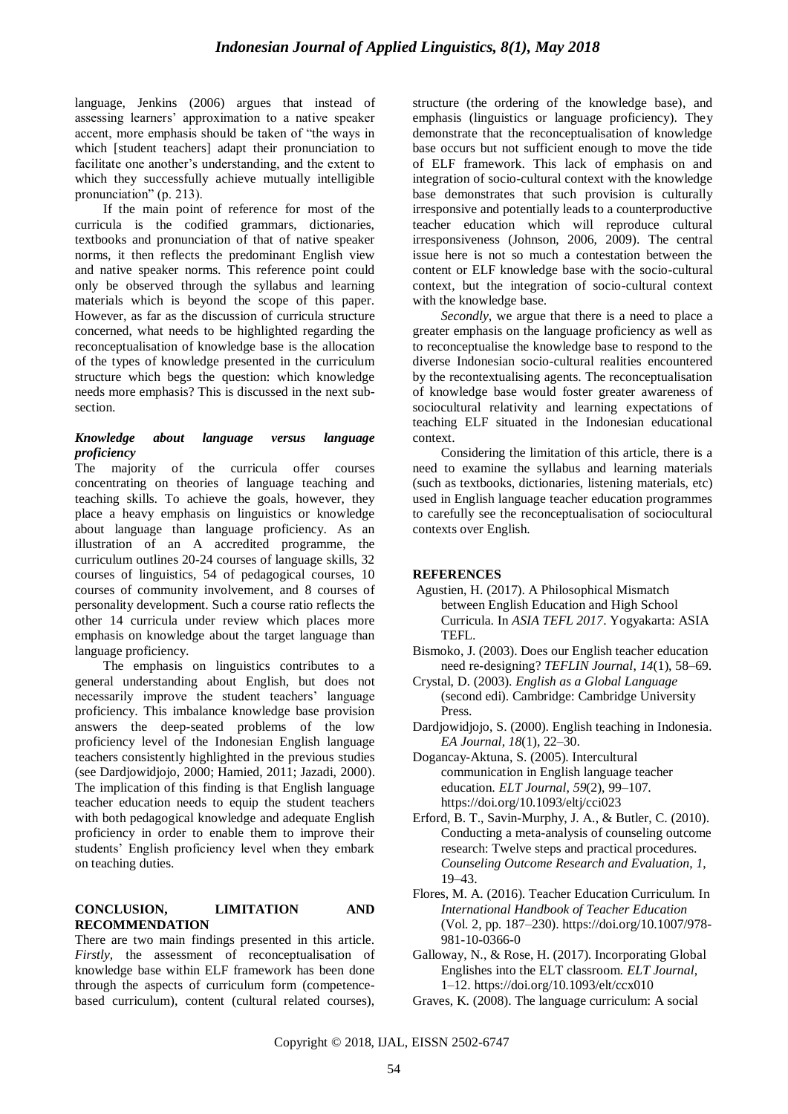language, Jenkins (2006) argues that instead of assessing learners" approximation to a native speaker accent, more emphasis should be taken of "the ways in which [student teachers] adapt their pronunciation to facilitate one another"s understanding, and the extent to which they successfully achieve mutually intelligible pronunciation" (p. 213).

If the main point of reference for most of the curricula is the codified grammars, dictionaries, textbooks and pronunciation of that of native speaker norms, it then reflects the predominant English view and native speaker norms. This reference point could only be observed through the syllabus and learning materials which is beyond the scope of this paper. However, as far as the discussion of curricula structure concerned, what needs to be highlighted regarding the reconceptualisation of knowledge base is the allocation of the types of knowledge presented in the curriculum structure which begs the question: which knowledge needs more emphasis? This is discussed in the next subsection.

#### *Knowledge about language versus language proficiency*

The majority of the curricula offer courses concentrating on theories of language teaching and teaching skills. To achieve the goals, however, they place a heavy emphasis on linguistics or knowledge about language than language proficiency. As an illustration of an A accredited programme, the curriculum outlines 20-24 courses of language skills, 32 courses of linguistics, 54 of pedagogical courses, 10 courses of community involvement, and 8 courses of personality development. Such a course ratio reflects the other 14 curricula under review which places more emphasis on knowledge about the target language than language proficiency.

The emphasis on linguistics contributes to a general understanding about English, but does not necessarily improve the student teachers' language proficiency. This imbalance knowledge base provision answers the deep-seated problems of the low proficiency level of the Indonesian English language teachers consistently highlighted in the previous studies (see Dardjowidjojo, 2000; Hamied, 2011; Jazadi, 2000). The implication of this finding is that English language teacher education needs to equip the student teachers with both pedagogical knowledge and adequate English proficiency in order to enable them to improve their students" English proficiency level when they embark on teaching duties.

# **CONCLUSION, LIMITATION AND RECOMMENDATION**

There are two main findings presented in this article. *Firstly,* the assessment of reconceptualisation of knowledge base within ELF framework has been done through the aspects of curriculum form (competencebased curriculum), content (cultural related courses), structure (the ordering of the knowledge base), and emphasis (linguistics or language proficiency). They demonstrate that the reconceptualisation of knowledge base occurs but not sufficient enough to move the tide of ELF framework. This lack of emphasis on and integration of socio-cultural context with the knowledge base demonstrates that such provision is culturally irresponsive and potentially leads to a counterproductive teacher education which will reproduce cultural irresponsiveness (Johnson, 2006, 2009). The central issue here is not so much a contestation between the content or ELF knowledge base with the socio-cultural context, but the integration of socio-cultural context with the knowledge base.

*Secondly,* we argue that there is a need to place a greater emphasis on the language proficiency as well as to reconceptualise the knowledge base to respond to the diverse Indonesian socio-cultural realities encountered by the recontextualising agents. The reconceptualisation of knowledge base would foster greater awareness of sociocultural relativity and learning expectations of teaching ELF situated in the Indonesian educational context.

Considering the limitation of this article, there is a need to examine the syllabus and learning materials (such as textbooks, dictionaries, listening materials, etc) used in English language teacher education programmes to carefully see the reconceptualisation of sociocultural contexts over English.

# **REFERENCES**

- Agustien, H. (2017). A Philosophical Mismatch between English Education and High School Curricula. In *ASIA TEFL 2017*. Yogyakarta: ASIA TEFL.
- Bismoko, J. (2003). Does our English teacher education need re-designing? *TEFLIN Journal*, *14*(1), 58–69.
- Crystal, D. (2003). *English as a Global Language* (second edi). Cambridge: Cambridge University Press.
- Dardjowidjojo, S. (2000). English teaching in Indonesia. *EA Journal*, *18*(1), 22–30.
- Dogancay-Aktuna, S. (2005). Intercultural communication in English language teacher education. *ELT Journal*, *59*(2), 99–107. https://doi.org/10.1093/eltj/cci023
- Erford, B. T., Savin-Murphy, J. A., & Butler, C. (2010). Conducting a meta-analysis of counseling outcome research: Twelve steps and practical procedures. *Counseling Outcome Research and Evaluation*, *1*, 19–43.
- Flores, M. A. (2016). Teacher Education Curriculum. In *International Handbook of Teacher Education* (Vol. 2, pp. 187–230). https://doi.org/10.1007/978- 981-10-0366-0
- Galloway, N., & Rose, H. (2017). Incorporating Global Englishes into the ELT classroom. *ELT Journal*, 1–12. https://doi.org/10.1093/elt/ccx010
- Graves, K. (2008). The language curriculum: A social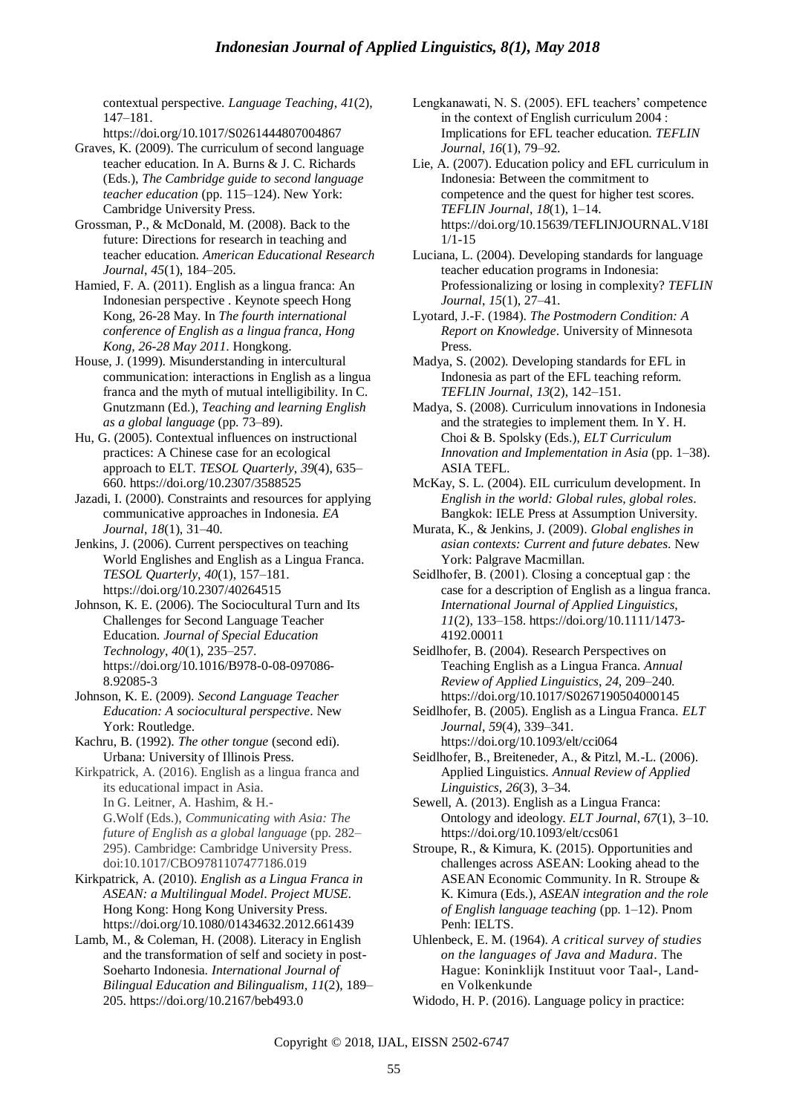contextual perspective. *Language Teaching*, *41*(2), 147–181.

https://doi.org/10.1017/S0261444807004867 Graves, K. (2009). The curriculum of second language teacher education. In A. Burns & J. C. Richards (Eds.), *The Cambridge guide to second language teacher education* (pp. 115–124). New York: Cambridge University Press.

Grossman, P., & McDonald, M. (2008). Back to the future: Directions for research in teaching and teacher education. *American Educational Research Journal*, *45*(1), 184–205.

Hamied, F. A. (2011). English as a lingua franca: An Indonesian perspective . Keynote speech Hong Kong, 26-28 May. In *The fourth international conference of English as a lingua franca, Hong Kong, 26-28 May 2011*. Hongkong.

House, J. (1999). Misunderstanding in intercultural communication: interactions in English as a lingua franca and the myth of mutual intelligibility. In C. Gnutzmann (Ed.), *Teaching and learning English as a global language* (pp. 73–89).

Hu, G. (2005). Contextual influences on instructional practices: A Chinese case for an ecological approach to ELT. *TESOL Quarterly*, *39*(4), 635– 660. https://doi.org/10.2307/3588525

Jazadi, I. (2000). Constraints and resources for applying communicative approaches in Indonesia. *EA Journal*, *18*(1), 31–40.

Jenkins, J. (2006). Current perspectives on teaching World Englishes and English as a Lingua Franca. *TESOL Quarterly*, *40*(1), 157–181. https://doi.org/10.2307/40264515

Johnson, K. E. (2006). The Sociocultural Turn and Its Challenges for Second Language Teacher Education. *Journal of Special Education Technology*, *40*(1), 235–257. https://doi.org/10.1016/B978-0-08-097086- 8.92085-3

Johnson, K. E. (2009). *Second Language Teacher Education: A sociocultural perspective*. New York: Routledge.

Kachru, B. (1992). *The other tongue* (second edi). Urbana: University of Illinois Press.

Kirkpatrick, A. (2016). English as a lingua franca and its educational impact in Asia. In G. Leitner, A. Hashim, & H.- G.Wolf (Eds.), *Communicating with Asia: The future of English as a global language* (pp. 282– 295). Cambridge: Cambridge University Press. doi:10.1017/CBO9781107477186.019

Kirkpatrick, A. (2010). *English as a Lingua Franca in ASEAN: a Multilingual Model*. *Project MUSE*. Hong Kong: Hong Kong University Press. https://doi.org/10.1080/01434632.2012.661439

Lamb, M., & Coleman, H. (2008). Literacy in English and the transformation of self and society in post-Soeharto Indonesia. *International Journal of Bilingual Education and Bilingualism*, *11*(2), 189– 205. https://doi.org/10.2167/beb493.0

Lengkanawati, N. S. (2005). EFL teachers' competence in the context of English curriculum 2004 : Implications for EFL teacher education. *TEFLIN Journal*, *16*(1), 79–92.

Lie, A. (2007). Education policy and EFL curriculum in Indonesia: Between the commitment to competence and the quest for higher test scores. *TEFLIN Journal*, *18*(1), 1–14. https://doi.org/10.15639/TEFLINJOURNAL.V18I 1/1-15

Luciana, L. (2004). Developing standards for language teacher education programs in Indonesia: Professionalizing or losing in complexity? *TEFLIN Journal*, *15*(1), 27–41.

Lyotard, J.-F. (1984). *The Postmodern Condition: A Report on Knowledge*. University of Minnesota Press.

Madya, S. (2002). Developing standards for EFL in Indonesia as part of the EFL teaching reform. *TEFLIN Journal*, *13*(2), 142–151.

Madya, S. (2008). Curriculum innovations in Indonesia and the strategies to implement them. In Y. H. Choi & B. Spolsky (Eds.), *ELT Curriculum Innovation and Implementation in Asia* (pp. 1–38). ASIA TEFL.

McKay, S. L. (2004). EIL curriculum development. In *English in the world: Global rules, global roles*. Bangkok: IELE Press at Assumption University.

Murata, K., & Jenkins, J. (2009). *Global englishes in asian contexts: Current and future debates*. New York: Palgrave Macmillan.

Seidlhofer, B. (2001). Closing a conceptual gap : the case for a description of English as a lingua franca. *International Journal of Applied Linguistics*, *11*(2), 133–158. https://doi.org/10.1111/1473- 4192.00011

Seidlhofer, B. (2004). Research Perspectives on Teaching English as a Lingua Franca. *Annual Review of Applied Linguistics*, *24*, 209–240. https://doi.org/10.1017/S0267190504000145

Seidlhofer, B. (2005). English as a Lingua Franca. *ELT Journal*, *59*(4), 339–341. https://doi.org/10.1093/elt/cci064

Seidlhofer, B., Breiteneder, A., & Pitzl, M.-L. (2006). Applied Linguistics. *Annual Review of Applied Linguistics*, *26*(3), 3–34.

Sewell, A. (2013). English as a Lingua Franca: Ontology and ideology. *ELT Journal*, *67*(1), 3–10. https://doi.org/10.1093/elt/ccs061

Stroupe, R., & Kimura, K. (2015). Opportunities and challenges across ASEAN: Looking ahead to the ASEAN Economic Community. In R. Stroupe & K. Kimura (Eds.), *ASEAN integration and the role of English language teaching* (pp. 1–12). Pnom Penh: IELTS.

Uhlenbeck, E. M. (1964). *A critical survey of studies on the languages of Java and Madura*. The Hague: Koninklijk Instituut voor Taal-, Landen Volkenkunde

Widodo, H. P. (2016). Language policy in practice:

Copyright © 2018, IJAL, EISSN [2502-6747](http://u.lipi.go.id/1435827202)